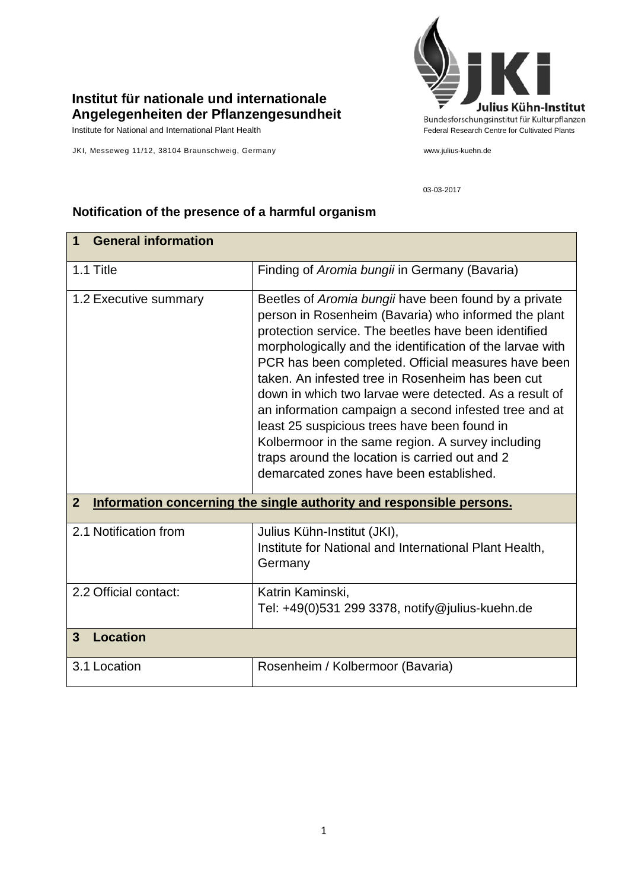## **Institut für nationale und internationale Angelegenheiten der Pflanzengesundheit**

JKI, Messeweg 11/12, 38104 Braunschweig, Germany www.julius-kuehn.de



03-03-2017

| <b>General information</b><br>1                                                        |                                                                                                                                                                                                                                                                                                                                                                                                                                                                                                                                                                                                                                                                     |  |
|----------------------------------------------------------------------------------------|---------------------------------------------------------------------------------------------------------------------------------------------------------------------------------------------------------------------------------------------------------------------------------------------------------------------------------------------------------------------------------------------------------------------------------------------------------------------------------------------------------------------------------------------------------------------------------------------------------------------------------------------------------------------|--|
| 1.1 Title                                                                              | Finding of Aromia bungii in Germany (Bavaria)                                                                                                                                                                                                                                                                                                                                                                                                                                                                                                                                                                                                                       |  |
| 1.2 Executive summary                                                                  | Beetles of Aromia bungii have been found by a private<br>person in Rosenheim (Bavaria) who informed the plant<br>protection service. The beetles have been identified<br>morphologically and the identification of the larvae with<br>PCR has been completed. Official measures have been<br>taken. An infested tree in Rosenheim has been cut<br>down in which two larvae were detected. As a result of<br>an information campaign a second infested tree and at<br>least 25 suspicious trees have been found in<br>Kolbermoor in the same region. A survey including<br>traps around the location is carried out and 2<br>demarcated zones have been established. |  |
| Information concerning the single authority and responsible persons.<br>$\overline{2}$ |                                                                                                                                                                                                                                                                                                                                                                                                                                                                                                                                                                                                                                                                     |  |
| 2.1 Notification from                                                                  | Julius Kühn-Institut (JKI),<br>Institute for National and International Plant Health,<br>Germany                                                                                                                                                                                                                                                                                                                                                                                                                                                                                                                                                                    |  |
| 2.2 Official contact:                                                                  | Katrin Kaminski,<br>Tel: +49(0)531 299 3378, notify@julius-kuehn.de                                                                                                                                                                                                                                                                                                                                                                                                                                                                                                                                                                                                 |  |
| <b>Location</b><br>3                                                                   |                                                                                                                                                                                                                                                                                                                                                                                                                                                                                                                                                                                                                                                                     |  |
| 3.1 Location                                                                           | Rosenheim / Kolbermoor (Bavaria)                                                                                                                                                                                                                                                                                                                                                                                                                                                                                                                                                                                                                                    |  |

## **Notification of the presence of a harmful organism**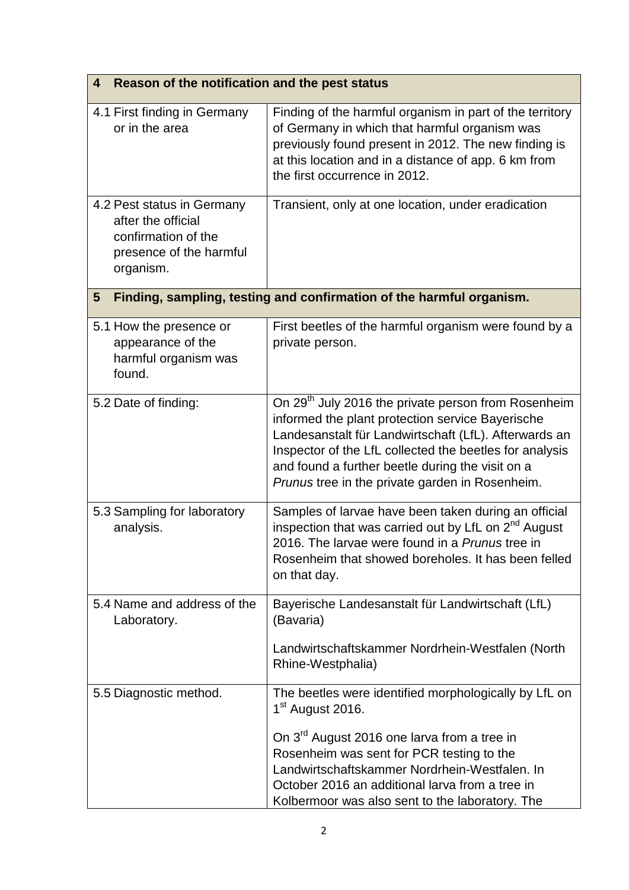| Reason of the notification and the pest status<br>4                                                             |                                                                                                                                                                                                                                                                                                                                                      |  |
|-----------------------------------------------------------------------------------------------------------------|------------------------------------------------------------------------------------------------------------------------------------------------------------------------------------------------------------------------------------------------------------------------------------------------------------------------------------------------------|--|
| 4.1 First finding in Germany<br>or in the area                                                                  | Finding of the harmful organism in part of the territory<br>of Germany in which that harmful organism was<br>previously found present in 2012. The new finding is<br>at this location and in a distance of app. 6 km from<br>the first occurrence in 2012.                                                                                           |  |
| 4.2 Pest status in Germany<br>after the official<br>confirmation of the<br>presence of the harmful<br>organism. | Transient, only at one location, under eradication                                                                                                                                                                                                                                                                                                   |  |
| Finding, sampling, testing and confirmation of the harmful organism.<br>5                                       |                                                                                                                                                                                                                                                                                                                                                      |  |
| 5.1 How the presence or<br>appearance of the<br>harmful organism was<br>found.                                  | First beetles of the harmful organism were found by a<br>private person.                                                                                                                                                                                                                                                                             |  |
| 5.2 Date of finding:                                                                                            | On 29 <sup>th</sup> July 2016 the private person from Rosenheim<br>informed the plant protection service Bayerische<br>Landesanstalt für Landwirtschaft (LfL). Afterwards an<br>Inspector of the LfL collected the beetles for analysis<br>and found a further beetle during the visit on a<br>Prunus tree in the private garden in Rosenheim.       |  |
| 5.3 Sampling for laboratory<br>analysis.                                                                        | Samples of larvae have been taken during an official<br>inspection that was carried out by LfL on 2 <sup>nd</sup> August<br>2016. The larvae were found in a Prunus tree in<br>Rosenheim that showed boreholes. It has been felled<br>on that day.                                                                                                   |  |
| 5.4 Name and address of the<br>Laboratory.                                                                      | Bayerische Landesanstalt für Landwirtschaft (LfL)<br>(Bavaria)<br>Landwirtschaftskammer Nordrhein-Westfalen (North<br>Rhine-Westphalia)                                                                                                                                                                                                              |  |
| 5.5 Diagnostic method.                                                                                          | The beetles were identified morphologically by LfL on<br>1 <sup>st</sup> August 2016.<br>On 3 <sup>rd</sup> August 2016 one larva from a tree in<br>Rosenheim was sent for PCR testing to the<br>Landwirtschaftskammer Nordrhein-Westfalen. In<br>October 2016 an additional larva from a tree in<br>Kolbermoor was also sent to the laboratory. The |  |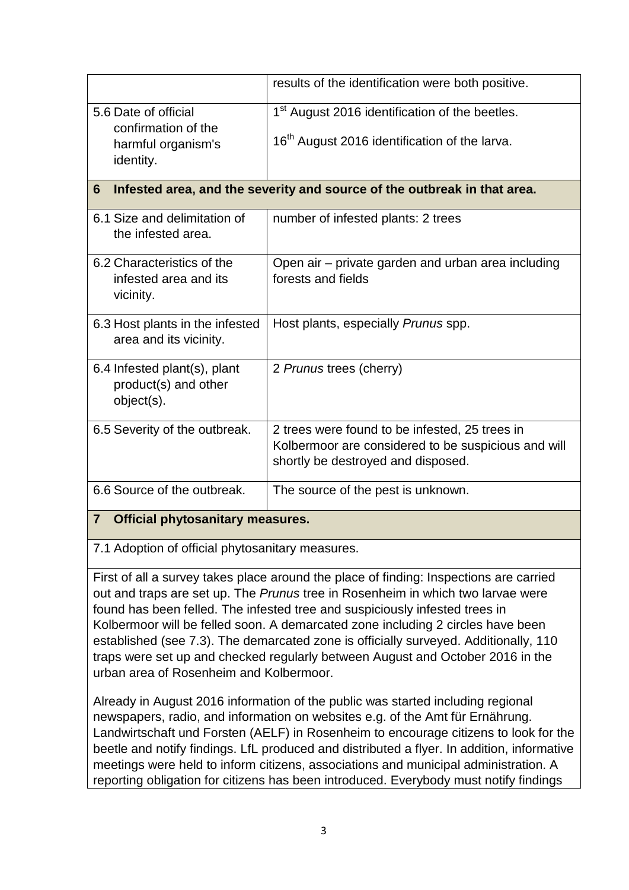|                                                                               | results of the identification were both positive.                        |  |
|-------------------------------------------------------------------------------|--------------------------------------------------------------------------|--|
| 5.6 Date of official                                                          | 1 <sup>st</sup> August 2016 identification of the beetles.               |  |
| confirmation of the<br>harmful organism's                                     | 16 <sup>th</sup> August 2016 identification of the larva.                |  |
| identity.                                                                     |                                                                          |  |
| Infested area, and the severity and source of the outbreak in that area.<br>6 |                                                                          |  |
| 6.1 Size and delimitation of<br>the infested area.                            | number of infested plants: 2 trees                                       |  |
| 6.2 Characteristics of the<br>infested area and its                           | Open air – private garden and urban area including<br>forests and fields |  |
| vicinity.                                                                     |                                                                          |  |
| 6.3 Host plants in the infested<br>area and its vicinity.                     | Host plants, especially Prunus spp.                                      |  |
| 6.4 Infested plant(s), plant<br>product(s) and other                          | 2 Prunus trees (cherry)                                                  |  |
| object(s).                                                                    |                                                                          |  |
| 6.5 Severity of the outbreak.                                                 | 2 trees were found to be infested, 25 trees in                           |  |
|                                                                               | Kolbermoor are considered to be suspicious and will                      |  |
|                                                                               | shortly be destroyed and disposed.                                       |  |
| 6.6 Source of the outbreak.                                                   | The source of the pest is unknown.                                       |  |
| 7 <sup>7</sup><br><b>Official phytosanitary measures.</b>                     |                                                                          |  |

7.1 Adoption of official phytosanitary measures.

First of all a survey takes place around the place of finding: Inspections are carried out and traps are set up. The *Prunus* tree in Rosenheim in which two larvae were found has been felled. The infested tree and suspiciously infested trees in Kolbermoor will be felled soon. A demarcated zone including 2 circles have been established (see 7.3). The demarcated zone is officially surveyed. Additionally, 110 traps were set up and checked regularly between August and October 2016 in the urban area of Rosenheim and Kolbermoor.

Already in August 2016 information of the public was started including regional newspapers, radio, and information on websites e.g. of the Amt für Ernährung. Landwirtschaft und Forsten (AELF) in Rosenheim to encourage citizens to look for the beetle and notify findings. LfL produced and distributed a flyer. In addition, informative meetings were held to inform citizens, associations and municipal administration. A reporting obligation for citizens has been introduced. Everybody must notify findings